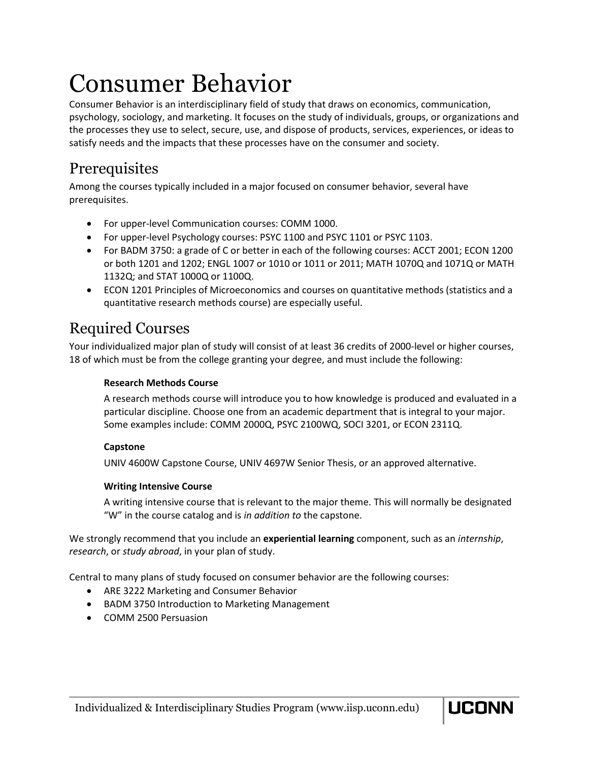# Consumer Behavior

Consumer Behavior is an interdisciplinary field of study that draws on economics, communication, psychology, sociology, and marketing. It focuses on the study of individuals, groups, or organizations and the processes they use to select, secure, use, and dispose of products, services, experiences, or ideas to satisfy needs and the impacts that these processes have on the consumer and society.

# Prerequisites

Among the courses typically included in a major focused on consumer behavior, several have prerequisites.

- For upper-level Communication courses: COMM 1000.
- For upper-level Psychology courses: PSYC 1100 and PSYC 1101 or PSYC 1103.
- For BADM 3750: a grade of C or better in each of the following courses: ACCT 2001; ECON 1200 or both 1201 and 1202; ENGL 1007 or 1010 or 1011 or 2011; MATH 1070Q and 1071Q or MATH 1132Q; and STAT 1000Q or 1100Q.
- ECON 1201 Principles of Microeconomics and courses on quantitative methods (statistics and a quantitative research methods course) are especially useful.

# Required Courses

Your individualized major plan of study will consist of at least 36 credits of 2000-level or higher courses, 18 of which must be from the college granting your degree, and must include the following:

# **Research Methods Course**

A research methods course will introduce you to how knowledge is produced and evaluated in a particular discipline. Choose one from an academic department that is integral to your major. Some examples include: COMM 2000Q, PSYC 2100WQ, SOCI 3201, or ECON 2311Q.

# **Capstone**

UNIV 4600W Capstone Course, UNIV 4697W Senior Thesis, or an approved alternative.

## **Writing Intensive Course**

A writing intensive course that is relevant to the major theme. This will normally be designated "W" in the course catalog and is *in addition to* the capstone.

We strongly recommend that you include an **experiential learning** component, such as an *internship*, *research*, or *study abroad*, in your plan of study.

Central to many plans of study focused on consumer behavior are the following courses:

- ARE 3222 Marketing and Consumer Behavior
- BADM 3750 Introduction to Marketing Management
- COMM 2500 Persuasion